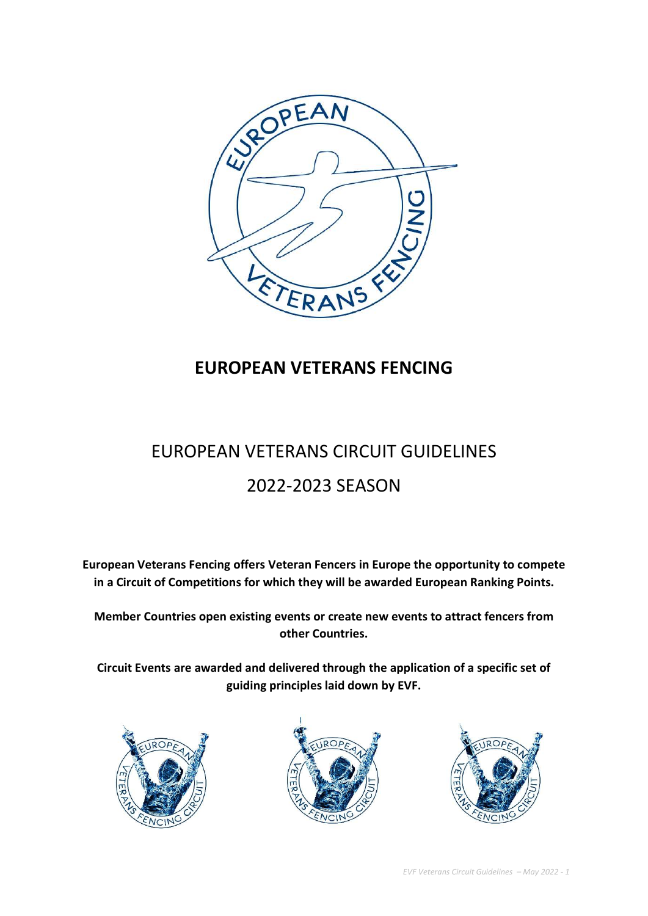

# EUROPEAN VETERANS FENCING

# EUROPEAN VETERANS CIRCUIT GUIDELINES

# 2022-2023 SEASON

European Veterans Fencing offers Veteran Fencers in Europe the opportunity to compete in a Circuit of Competitions for which they will be awarded European Ranking Points.

Member Countries open existing events or create new events to attract fencers from other Countries.

Circuit Events are awarded and delivered through the application of a specific set of guiding principles laid down by EVF.





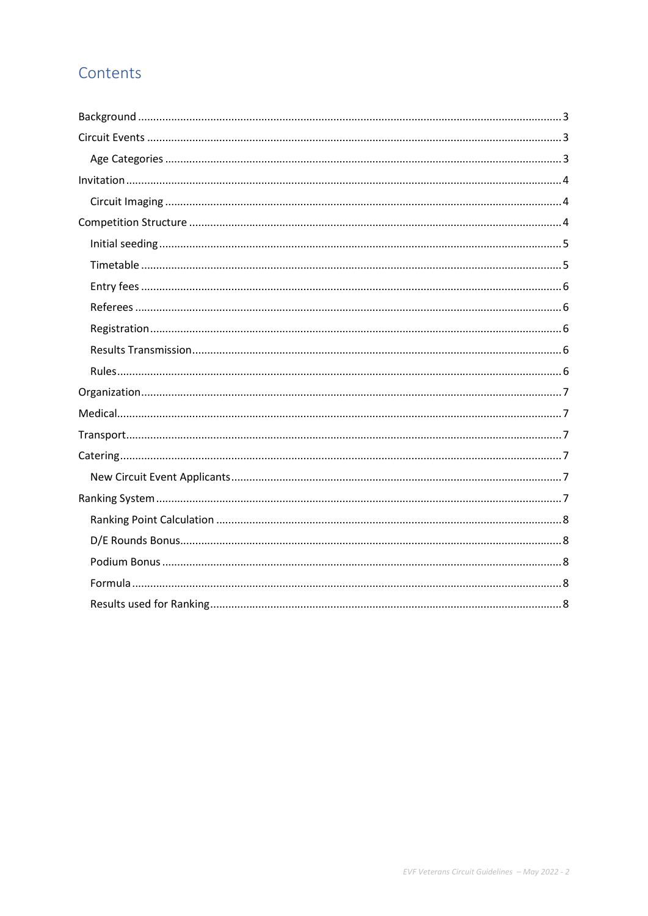# Contents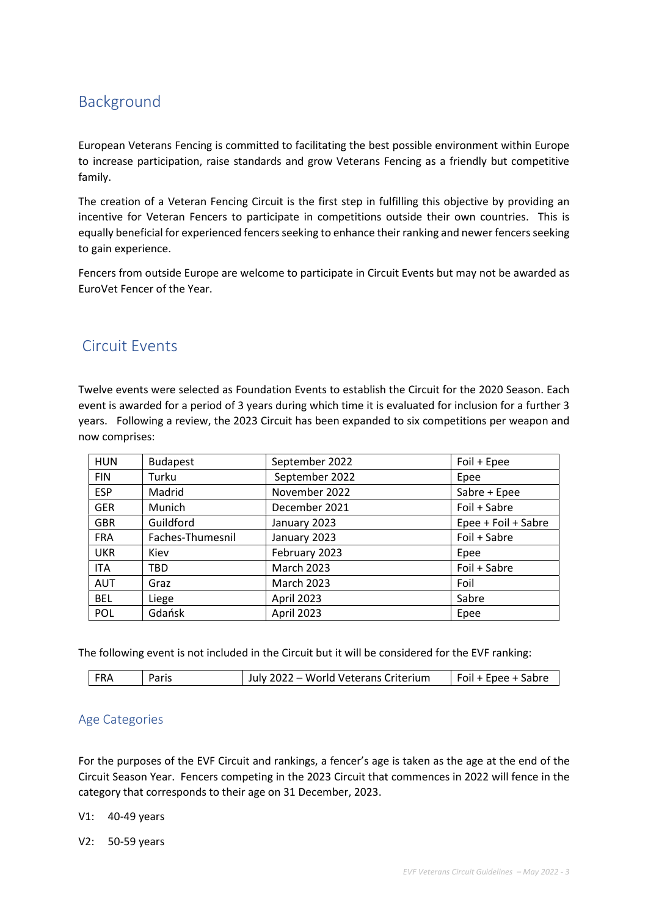# Background

European Veterans Fencing is committed to facilitating the best possible environment within Europe to increase participation, raise standards and grow Veterans Fencing as a friendly but competitive family.

The creation of a Veteran Fencing Circuit is the first step in fulfilling this objective by providing an incentive for Veteran Fencers to participate in competitions outside their own countries. This is equally beneficial for experienced fencers seeking to enhance their ranking and newer fencers seeking to gain experience.

Fencers from outside Europe are welcome to participate in Circuit Events but may not be awarded as EuroVet Fencer of the Year.

# Circuit Events

Twelve events were selected as Foundation Events to establish the Circuit for the 2020 Season. Each event is awarded for a period of 3 years during which time it is evaluated for inclusion for a further 3 years. Following a review, the 2023 Circuit has been expanded to six competitions per weapon and now comprises:

| <b>HUN</b> | <b>Budapest</b>  | September 2022    | Foil + Epee         |
|------------|------------------|-------------------|---------------------|
| <b>FIN</b> | Turku            | September 2022    | Epee                |
| <b>ESP</b> | Madrid           | November 2022     | Sabre + Epee        |
| <b>GER</b> | Munich           | December 2021     | Foil + Sabre        |
| <b>GBR</b> | Guildford        | January 2023      | Epee + Foil + Sabre |
| <b>FRA</b> | Faches-Thumesnil | January 2023      | Foil + Sabre        |
| <b>UKR</b> | Kiev             | February 2023     | Epee                |
| <b>ITA</b> | <b>TBD</b>       | <b>March 2023</b> | Foil + Sabre        |
| <b>AUT</b> | Graz             | <b>March 2023</b> | Foil                |
| <b>BEL</b> | Liege            | April 2023        | Sabre               |
| <b>POL</b> | Gdańsk           | April 2023        | Epee                |

The following event is not included in the Circuit but it will be considered for the EVF ranking:

| <b>FRA</b> | Paris | July 2022 - World Veterans Criterium | Foil + Epee + Sabre |
|------------|-------|--------------------------------------|---------------------|
|------------|-------|--------------------------------------|---------------------|

#### Age Categories

For the purposes of the EVF Circuit and rankings, a fencer's age is taken as the age at the end of the Circuit Season Year. Fencers competing in the 2023 Circuit that commences in 2022 will fence in the category that corresponds to their age on 31 December, 2023.

#### V1: 40-49 years

V2: 50-59 years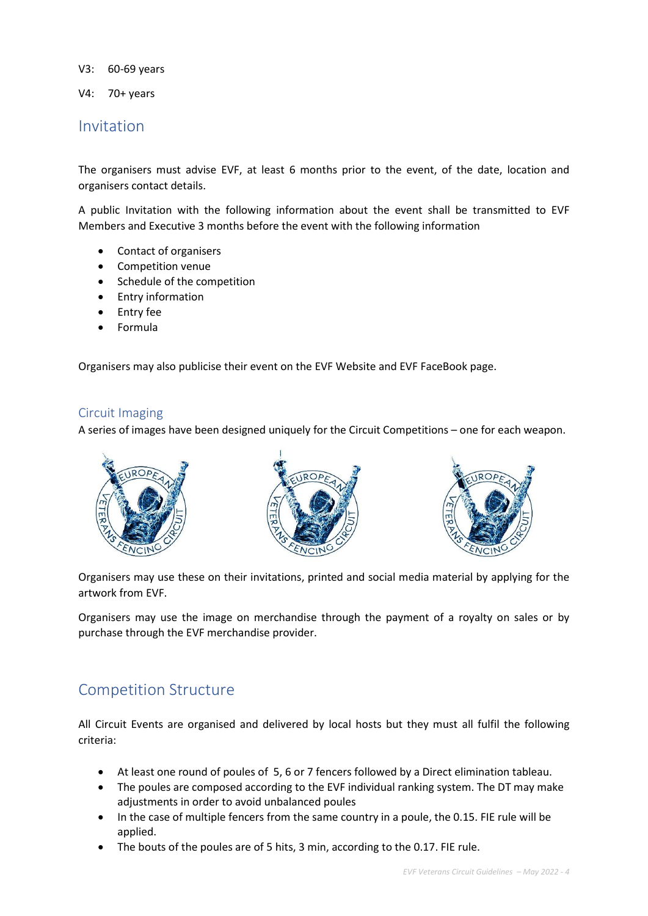V3: 60-69 years

V4: 70+ years

#### Invitation

The organisers must advise EVF, at least 6 months prior to the event, of the date, location and organisers contact details.

A public Invitation with the following information about the event shall be transmitted to EVF Members and Executive 3 months before the event with the following information

- Contact of organisers
- Competition venue
- Schedule of the competition
- Entry information
- Entry fee
- Formula

Organisers may also publicise their event on the EVF Website and EVF FaceBook page.

#### Circuit Imaging

A series of images have been designed uniquely for the Circuit Competitions – one for each weapon.



Organisers may use these on their invitations, printed and social media material by applying for the artwork from EVF.

Organisers may use the image on merchandise through the payment of a royalty on sales or by purchase through the EVF merchandise provider.

### Competition Structure

All Circuit Events are organised and delivered by local hosts but they must all fulfil the following criteria:

- At least one round of poules of 5, 6 or 7 fencers followed by a Direct elimination tableau.
- The poules are composed according to the EVF individual ranking system. The DT may make adjustments in order to avoid unbalanced poules
- In the case of multiple fencers from the same country in a poule, the 0.15. FIE rule will be applied.
- The bouts of the poules are of 5 hits, 3 min, according to the 0.17. FIE rule.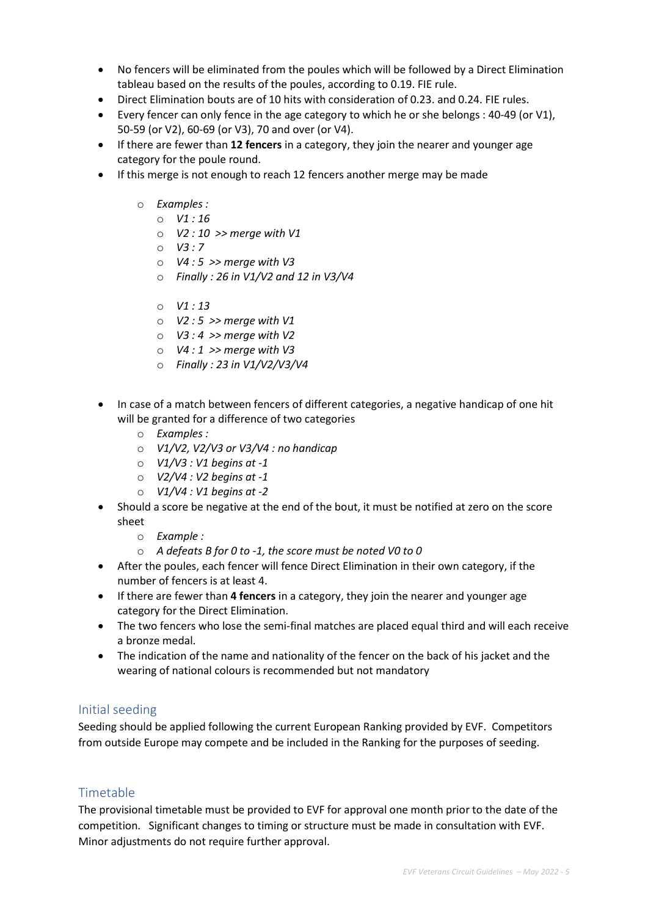- No fencers will be eliminated from the poules which will be followed by a Direct Elimination tableau based on the results of the poules, according to 0.19. FIE rule.
- Direct Elimination bouts are of 10 hits with consideration of 0.23. and 0.24. FIE rules.
- Every fencer can only fence in the age category to which he or she belongs : 40-49 (or V1), 50-59 (or V2), 60-69 (or V3), 70 and over (or V4).
- If there are fewer than 12 fencers in a category, they join the nearer and younger age category for the poule round.
- If this merge is not enough to reach 12 fencers another merge may be made
	- o Examples :
		- $O$   $V1:16$
		- $O$  V2 : 10 >> merge with V1
		- $O$   $V3:7$
		- $O$  V4 : 5 >> merge with V3
		- $\circ$  Finally : 26 in V1/V2 and 12 in V3/V4
		- $O$   $V1:13$
		- $\circ$  V2 : 5 >> merge with V1
		- $\circ$  V3 : 4 >> merge with V2
		- $O$  V4 : 1 >> merge with V3
		- o Finally : 23 in V1/V2/V3/V4
- In case of a match between fencers of different categories, a negative handicap of one hit will be granted for a difference of two categories
	- o Examples :
	- $O$  V1/V2, V2/V3 or V3/V4 : no handicap
	- $\circ$  V1/V3 : V1 begins at -1
	- $\circ$  V2/V4 : V2 begins at -1
	- $\circ$  V1/V4 : V1 begins at -2
- Should a score be negative at the end of the bout, it must be notified at zero on the score sheet
	- o Example :
	- o A defeats B for 0 to -1, the score must be noted V0 to 0
- After the poules, each fencer will fence Direct Elimination in their own category, if the number of fencers is at least 4.
- If there are fewer than 4 fencers in a category, they join the nearer and younger age category for the Direct Elimination.
- The two fencers who lose the semi-final matches are placed equal third and will each receive a bronze medal.
- The indication of the name and nationality of the fencer on the back of his jacket and the wearing of national colours is recommended but not mandatory

#### Initial seeding

Seeding should be applied following the current European Ranking provided by EVF. Competitors from outside Europe may compete and be included in the Ranking for the purposes of seeding.

#### Timetable

The provisional timetable must be provided to EVF for approval one month prior to the date of the competition. Significant changes to timing or structure must be made in consultation with EVF. Minor adjustments do not require further approval.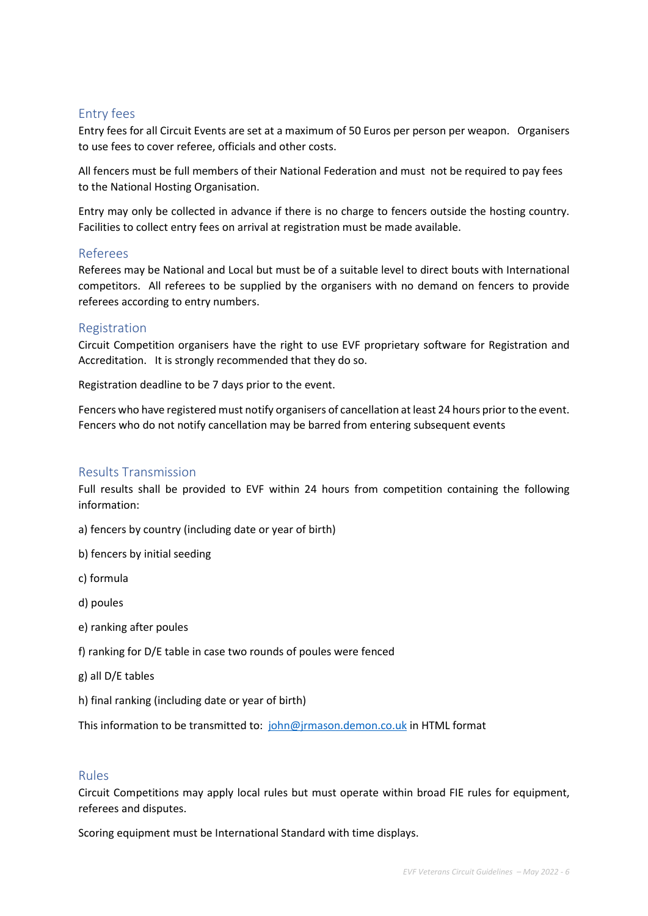#### Entry fees

Entry fees for all Circuit Events are set at a maximum of 50 Euros per person per weapon. Organisers to use fees to cover referee, officials and other costs.

All fencers must be full members of their National Federation and must not be required to pay fees to the National Hosting Organisation.

Entry may only be collected in advance if there is no charge to fencers outside the hosting country. Facilities to collect entry fees on arrival at registration must be made available.

#### Referees

Referees may be National and Local but must be of a suitable level to direct bouts with International competitors. All referees to be supplied by the organisers with no demand on fencers to provide referees according to entry numbers.

#### Registration

Circuit Competition organisers have the right to use EVF proprietary software for Registration and Accreditation. It is strongly recommended that they do so.

Registration deadline to be 7 days prior to the event.

Fencers who have registered must notify organisers of cancellation at least 24 hours prior to the event. Fencers who do not notify cancellation may be barred from entering subsequent events

#### Results Transmission

Full results shall be provided to EVF within 24 hours from competition containing the following information:

- a) fencers by country (including date or year of birth)
- b) fencers by initial seeding
- c) formula
- d) poules
- e) ranking after poules
- f) ranking for D/E table in case two rounds of poules were fenced
- g) all D/E tables
- h) final ranking (including date or year of birth)

This information to be transmitted to: john@jrmason.demon.co.uk in HTML format

#### Rules

Circuit Competitions may apply local rules but must operate within broad FIE rules for equipment, referees and disputes.

Scoring equipment must be International Standard with time displays.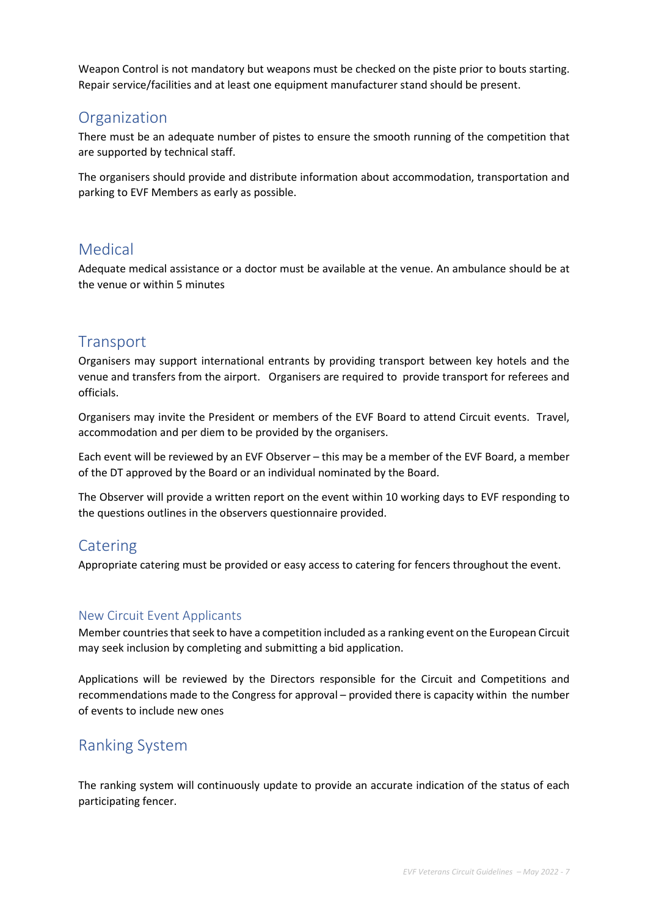Weapon Control is not mandatory but weapons must be checked on the piste prior to bouts starting. Repair service/facilities and at least one equipment manufacturer stand should be present.

### **Organization**

There must be an adequate number of pistes to ensure the smooth running of the competition that are supported by technical staff.

The organisers should provide and distribute information about accommodation, transportation and parking to EVF Members as early as possible.

## Medical

Adequate medical assistance or a doctor must be available at the venue. An ambulance should be at the venue or within 5 minutes

# **Transport**

Organisers may support international entrants by providing transport between key hotels and the venue and transfers from the airport. Organisers are required to provide transport for referees and officials.

Organisers may invite the President or members of the EVF Board to attend Circuit events. Travel, accommodation and per diem to be provided by the organisers.

Each event will be reviewed by an EVF Observer – this may be a member of the EVF Board, a member of the DT approved by the Board or an individual nominated by the Board.

The Observer will provide a written report on the event within 10 working days to EVF responding to the questions outlines in the observers questionnaire provided.

# Catering

Appropriate catering must be provided or easy access to catering for fencers throughout the event.

#### New Circuit Event Applicants

Member countries that seek to have a competition included as a ranking event on the European Circuit may seek inclusion by completing and submitting a bid application.

Applications will be reviewed by the Directors responsible for the Circuit and Competitions and recommendations made to the Congress for approval – provided there is capacity within the number of events to include new ones

# Ranking System

The ranking system will continuously update to provide an accurate indication of the status of each participating fencer.